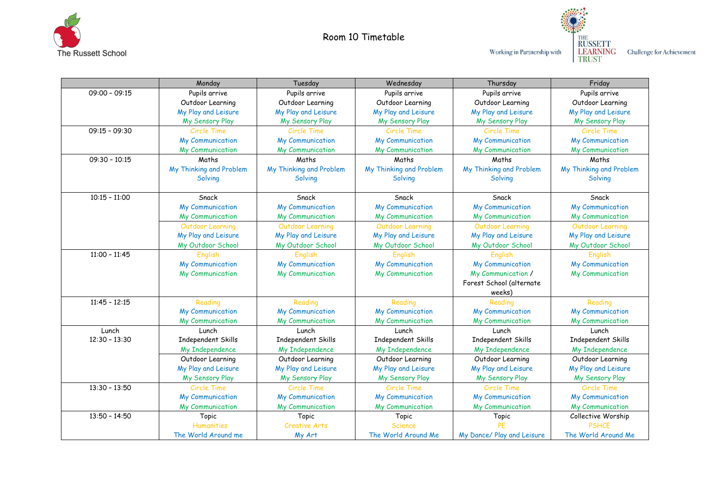

Room 10 Timetable



Challenge for Achievement

|                 | Monday                  | Tuesday                 | Wednesday               | Thursday                   | Friday                  |
|-----------------|-------------------------|-------------------------|-------------------------|----------------------------|-------------------------|
| $09:00 - 09:15$ | Pupils arrive           | Pupils arrive           | Pupils arrive           | Pupils arrive              | Pupils arrive           |
|                 | Outdoor Learning        | Outdoor Learning        | Outdoor Learning        | Outdoor Learning           | Outdoor Learning        |
|                 | My Play and Leisure     | My Play and Leisure     | My Play and Leisure     | My Play and Leisure        | My Play and Leisure     |
|                 | My Sensory Play         | My Sensory Play         | My Sensory Play         | My Sensory Play            | My Sensory Play         |
| $09:15 - 09:30$ | Circle Time             | <b>Circle Time</b>      | Circle Time             | <b>Circle Time</b>         | Circle Time             |
|                 | My Communication        | My Communication        | My Communication        | My Communication           | My Communication        |
|                 | My Communication        | My Communication        | My Communication        | My Communication           | My Communication        |
| $09:30 - 10:15$ | Maths                   | Maths                   | Maths                   | Maths                      | Maths                   |
|                 | My Thinking and Problem | My Thinking and Problem | My Thinking and Problem | My Thinking and Problem    | My Thinking and Problem |
|                 | Solving                 | Solving                 | Solving                 | Solving                    | Solving                 |
|                 |                         |                         |                         |                            |                         |
| $10:15 - 11:00$ | Snack                   | Snack                   | Snack                   | Snack                      | Snack                   |
|                 | My Communication        | My Communication        | My Communication        | My Communication           | My Communication        |
|                 | My Communication        | My Communication        | My Communication        | My Communication           | My Communication        |
|                 | Outdoor Learning        | <b>Outdoor Learning</b> | Outdoor Learning        | Outdoor Learning           | Outdoor Learning        |
|                 | My Play and Leisure     | My Play and Leisure     | My Play and Leisure     | My Play and Leisure        | My Play and Leisure     |
|                 | My Outdoor School       | My Outdoor School       | My Outdoor School       | My Outdoor School          | My Outdoor School       |
| $11:00 - 11:45$ | English                 | English                 | English                 | English                    | English                 |
|                 | My Communication        | My Communication        | My Communication        | My Communication           | My Communication        |
|                 | My Communication        | My Communication        | My Communication        | My Communication /         | My Communication        |
|                 |                         |                         |                         | Forest School (alternate   |                         |
|                 |                         |                         |                         | weeks)                     |                         |
| $11:45 - 12:15$ | Reading                 | Reading                 | Reading                 | Reading                    | Reading                 |
|                 | My Communication        | My Communication        | My Communication        | My Communication           | My Communication        |
|                 | My Communication        | <b>My Communication</b> | My Communication        | <b>My Communication</b>    | <b>My Communication</b> |
| Lunch           | Lunch                   | Lunch                   | Lunch                   | Lunch                      | Lunch                   |
| $12:30 - 13:30$ | Independent Skills      | Independent Skills      | Independent Skills      | <b>Independent Skills</b>  | Independent Skills      |
|                 | My Independence         | My Independence         | My Independence         | My Independence            | My Independence         |
|                 | Outdoor Learning        | Outdoor Learning        | Outdoor Learning        | Outdoor Learning           | Outdoor Learning        |
|                 | My Play and Leisure     | My Play and Leisure     | My Play and Leisure     | My Play and Leisure        | My Play and Leisure     |
|                 | My Sensory Play         | My Sensory Play         | My Sensory Play         | My Sensory Play            | My Sensory Play         |
| $13:30 - 13:50$ | Circle Time             | Circle Time             | Circle Time             | Circle Time                | Circle Time             |
|                 | My Communication        | My Communication        | My Communication        | My Communication           | My Communication        |
|                 | My Communication        | My Communication        | <b>My Communication</b> | <b>My Communication</b>    | My Communication        |
| $13:50 - 14:50$ | Topic                   | Topic                   | Topic                   | Topic                      | Collective Worship      |
|                 | <b>Humanities</b>       | <b>Creative Arts</b>    | <b>Science</b>          | PF                         | <b>PSHCE</b>            |
|                 | The World Around me     | My Art                  | The World Around Me     | My Dance/ Play and Leisure | The World Around Me     |